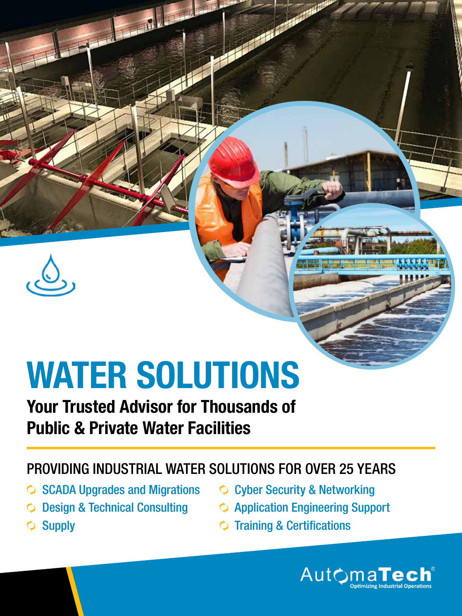

# WATER SOLUTIONS

### Your Trusted Advisor for Thousands of Public & Private Water Facilities

#### PROVIDING INDUSTRIAL WATER SOLUTIONS FOR OVER 25 YEARS

- SCADA Upgrades and Migrations  $\Diamond$  Cyber Security & Networking
- 
- 
- Design & Technical Consulting  $\Diamond$  Application Engineering Support
	- Training & Certifications



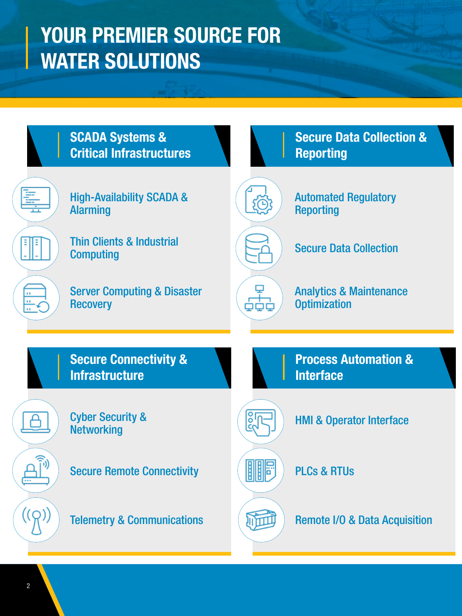## YOUR PREMIER SOURCE FOR WATER SOLUTIONS

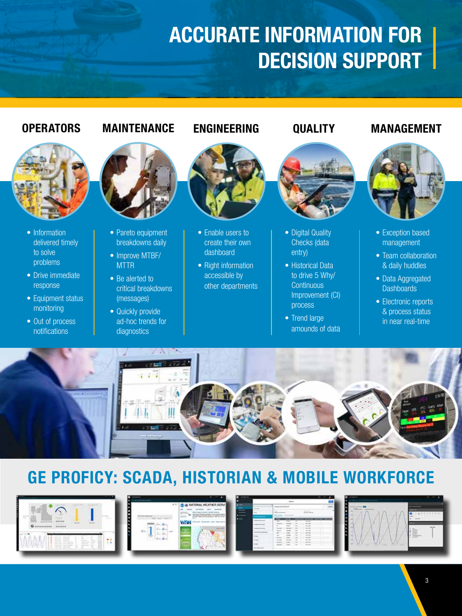## ACCURATE INFORMATION FOR DECISION SUPPORT



- Information delivered timely to solve problems
- Drive immediate response
- Equipment status monitoring
- Out of process notifications



- Pareto equipment breakdowns daily
- Improve MTBF/ **MTTR**
- Be alerted to critical breakdowns (messages)
- Quickly provide ad-hoc trends for diagnostics



- Enable users to create their own dashboard
- Right information accessible by other departments



- Digital Quality Checks (data entry)
- Historical Data to drive 5 Why/ **Continuous** Improvement (CI) process
- Trend large amounds of data

#### OPERATORS MAINTENANCE ENGINEERING QUALITY MANAGEMENT



- Exception based management
- Team collaboration & daily huddles
- Data Aggregated **Dashboards**
- Electronic reports & process status in near real-time



#### GE PROFICY: SCADA, HISTORIAN & MOBILE WORKFORCE

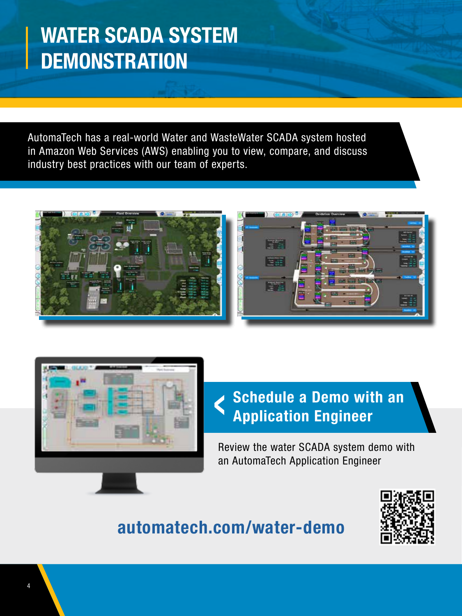## WATER SCADA SYSTEM **DEMONSTRATION**

AutomaTech has a real-world Water and WasteWater SCADA system hosted in Amazon Web Services (AWS) enabling you to view, compare, and discuss industry best practices with our team of experts.







#### Schedule a Demo with an Application Engineer  $\blacktriangleleft$

Review the water SCADA system demo with an AutomaTech Application Engineer

#### [automatech.com/water-demo](https://automatech.com/water-demo/)

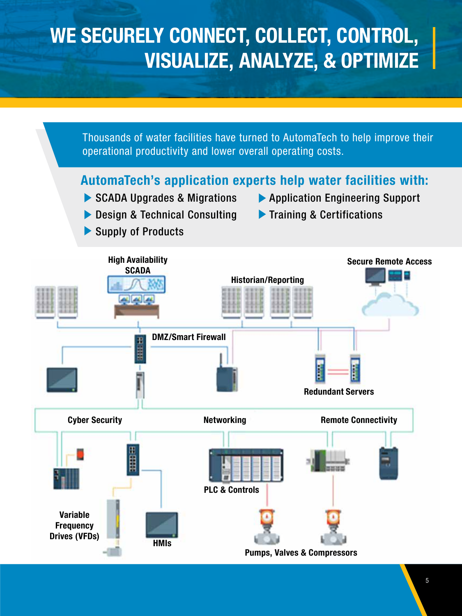## WE SECURELY CONNECT, COLLECT, CONTROL, VISUALIZE, ANALYZE, & OPTIMIZE